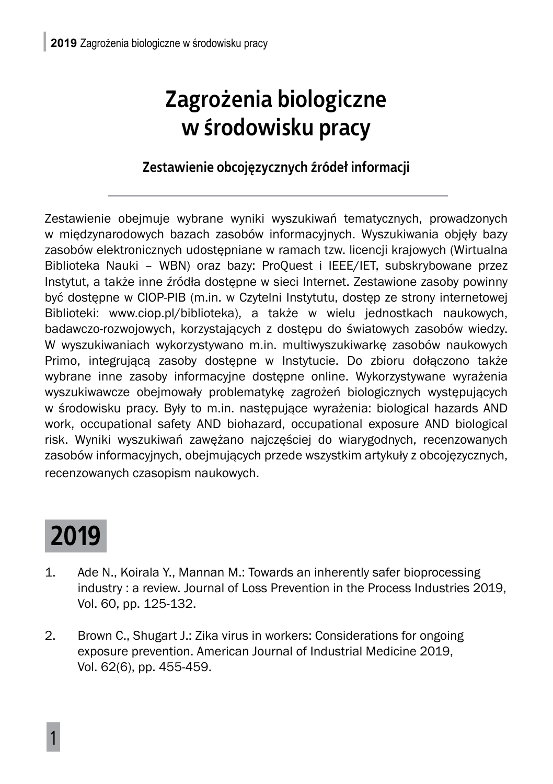#### **Zagrożenia biologiczne w środowisku pracy**

#### **Zestawienie obcojęzycznych źródeł informacji**

Zestawienie obejmuje wybrane wyniki wyszukiwań tematycznych, prowadzonych w międzynarodowych bazach zasobów informacyjnych. Wyszukiwania objęły bazy zasobów elektronicznych udostępniane w ramach tzw. licencji krajowych (Wirtualna Biblioteka Nauki – WBN) oraz bazy: ProQuest i IEEE/IET, subskrybowane przez Instytut, a także inne źródła dostępne w sieci Internet. Zestawione zasoby powinny być dostępne w CIOP-PIB (m.in. w Czytelni Instytutu, dostęp ze strony internetowej Biblioteki: www.ciop.pl/biblioteka), a także w wielu jednostkach naukowych, badawczo-rozwojowych, korzystających z dostępu do światowych zasobów wiedzy. W wyszukiwaniach wykorzystywano m.in. multiwyszukiwarkę zasobów naukowych Primo, integrującą zasoby dostępne w Instytucie. Do zbioru dołączono także wybrane inne zasoby informacyjne dostępne online. Wykorzystywane wyrażenia wyszukiwawcze obejmowały problematykę zagrożeń biologicznych występujących w środowisku pracy. Były to m.in. następujące wyrażenia: biological hazards AND work, occupational safety AND biohazard, occupational exposure AND biological risk. Wyniki wyszukiwań zawężano najczęściej do wiarygodnych, recenzowanych zasobów informacyjnych, obejmujących przede wszystkim artykuły z obcojęzycznych, recenzowanych czasopism naukowych.

### **2019**

- 1. Ade N., Koirala Y., Mannan M.: Towards an inherently safer bioprocessing industry : a review. Journal of Loss Prevention in the Process Industries 2019, Vol. 60, pp. 125-132.
- 2. Brown C., Shugart J.: Zika virus in workers: Considerations for ongoing exposure prevention. American Journal of Industrial Medicine 2019, Vol. 62(6), pp. 455-459.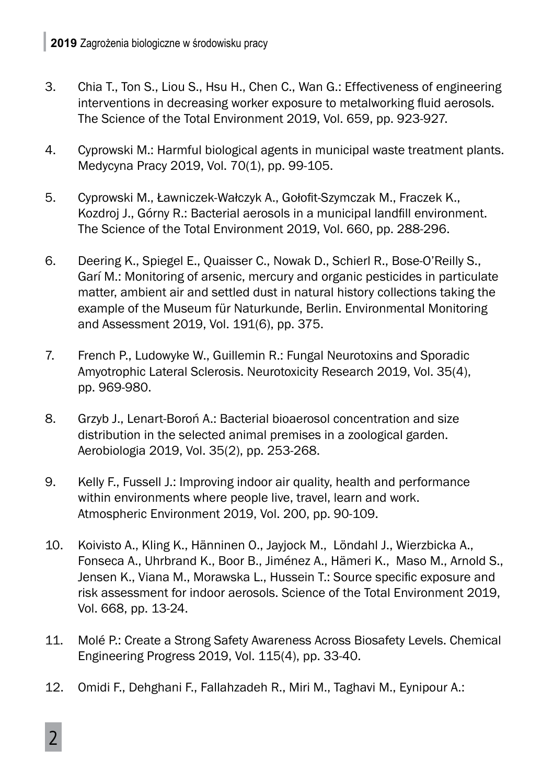- 3. Chia T., Ton S., Liou S., Hsu H., Chen C., Wan G.: Effectiveness of engineering interventions in decreasing worker exposure to metalworking fluid aerosols. The Science of the Total Environment 2019, Vol. 659, pp. 923-927.
- 4. Cyprowski M.: Harmful biological agents in municipal waste treatment plants. Medycyna Pracy 2019, Vol. 70(1), pp. 99-105.
- 5. Cyprowski M., Ławniczek-Wałczyk A., Gołofit-Szymczak M., Fraczek K., Kozdroj J., Górny R.: Bacterial aerosols in a municipal landfill environment. The Science of the Total Environment 2019, Vol. 660, pp. 288-296.
- 6. Deering K., Spiegel E., Quaisser C., Nowak D., Schierl R., Bose-O'Reilly S., Garí M.: Monitoring of arsenic, mercury and organic pesticides in particulate matter, ambient air and settled dust in natural history collections taking the example of the Museum für Naturkunde, Berlin. Environmental Monitoring and Assessment 2019, Vol. 191(6), pp. 375.
- 7. French P., Ludowyke W., Guillemin R.: Fungal Neurotoxins and Sporadic Amyotrophic Lateral Sclerosis. Neurotoxicity Research 2019, Vol. 35(4), pp. 969-980.
- 8. Grzyb J., Lenart-Boroń A.: Bacterial bioaerosol concentration and size distribution in the selected animal premises in a zoological garden. Aerobiologia 2019, Vol. 35(2), pp. 253-268.
- 9. Kelly F., Fussell J.: Improving indoor air quality, health and performance within environments where people live, travel, learn and work. Atmospheric Environment 2019, Vol. 200, pp. 90-109.
- 10. Koivisto A., Kling K., Hänninen O., Jayjock M., Löndahl J., Wierzbicka A., Fonseca A., Uhrbrand K., Boor B., Jiménez A., Hämeri K., Maso M., Arnold S., Jensen K., Viana M., Morawska L., Hussein T.: Source specific exposure and risk assessment for indoor aerosols. Science of the Total Environment 2019, Vol. 668, pp. 13-24.
- 11. Molé P.: Create a Strong Safety Awareness Across Biosafety Levels. Chemical Engineering Progress 2019, Vol. 115(4), pp. 33-40.
- 12. Omidi F., Dehghani F., Fallahzadeh R., Miri M., Taghavi M., Eynipour A.: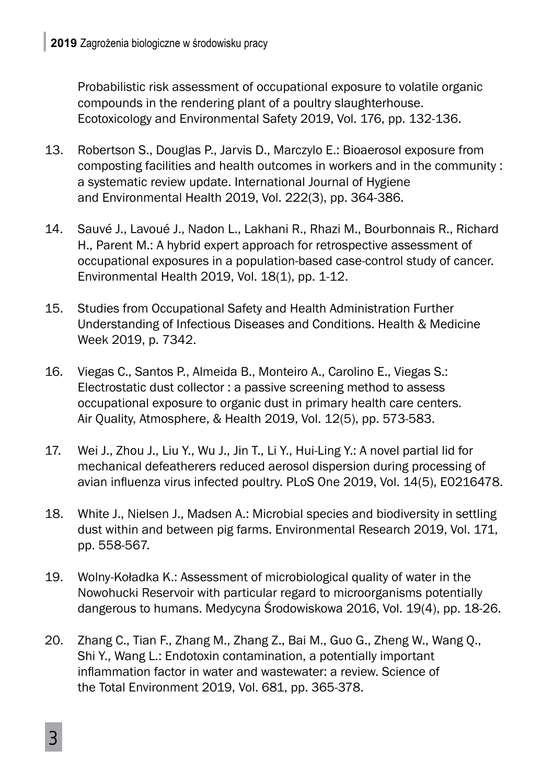Probabilistic risk assessment of occupational exposure to volatile organic compounds in the rendering plant of a poultry slaughterhouse. Ecotoxicology and Environmental Safety 2019, Vol. 176, pp. 132-136.

- 13. Robertson S., Douglas P., Jarvis D., Marczylo E.: Bioaerosol exposure from composting facilities and health outcomes in workers and in the community : a systematic review update. International Journal of Hygiene and Environmental Health 2019, Vol. 222(3), pp. 364-386.
- 14. Sauvé J., Lavoué J., Nadon L., Lakhani R., Rhazi M., Bourbonnais R., Richard H., Parent M.: A hybrid expert approach for retrospective assessment of occupational exposures in a population-based case-control study of cancer. Environmental Health 2019, Vol. 18(1), pp. 1-12.
- 15. Studies from Occupational Safety and Health Administration Further Understanding of Infectious Diseases and Conditions. Health & Medicine Week 2019, p. 7342.
- 16. Viegas C., Santos P., Almeida B., Monteiro A., Carolino E., Viegas S.: Electrostatic dust collector : a passive screening method to assess occupational exposure to organic dust in primary health care centers. Air Quality, Atmosphere, & Health 2019, Vol. 12(5), pp. 573-583.
- 17. Wei J., Zhou J., Liu Y., Wu J., Jin T., Li Y., Hui-Ling Y.: A novel partial lid for mechanical defeatherers reduced aerosol dispersion during processing of avian influenza virus infected poultry. PLoS One 2019, Vol. 14(5), E0216478.
- 18. White J., Nielsen J., Madsen A.: Microbial species and biodiversity in settling dust within and between pig farms. Environmental Research 2019, Vol. 171, pp. 558-567.
- 19. Wolny-Koładka K.: Assessment of microbiological quality of water in the Nowohucki Reservoir with particular regard to microorganisms potentially dangerous to humans. Medycyna Środowiskowa 2016, Vol. 19(4), pp. 18-26.
- 20. Zhang C., Tian F., Zhang M., Zhang Z., Bai M., Guo G., Zheng W., Wang Q., Shi Y., Wang L.: Endotoxin contamination, a potentially important inflammation factor in water and wastewater: a review. Science of the Total Environment 2019, Vol. 681, pp. 365-378.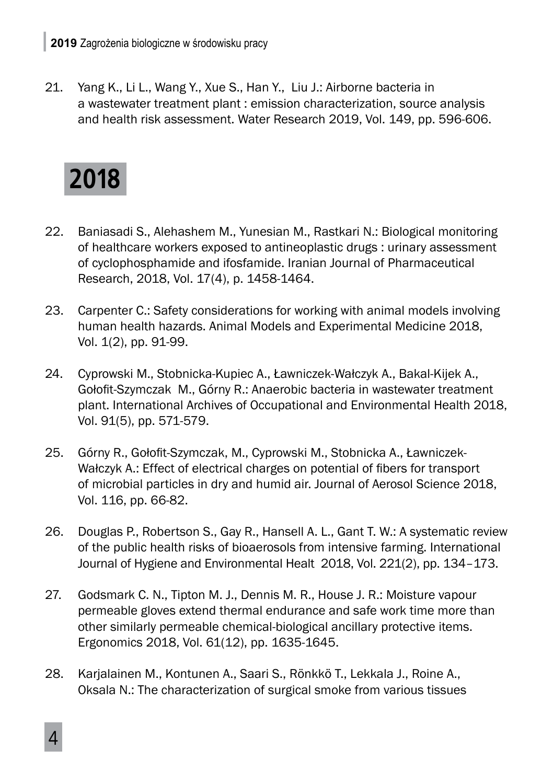21. Yang K., Li L., Wang Y., Xue S., Han Y., Liu J.: Airborne bacteria in a wastewater treatment plant : emission characterization, source analysis and health risk assessment. Water Research 2019, Vol. 149, pp. 596-606.



- 22. Baniasadi S., Alehashem M., Yunesian M., Rastkari N.: Biological monitoring of healthcare workers exposed to antineoplastic drugs : urinary assessment of cyclophosphamide and ifosfamide. Iranian Journal of Pharmaceutical Research, 2018, Vol. 17(4), p. 1458-1464.
- 23. Carpenter C.: Safety considerations for working with animal models involving human health hazards. Animal Models and Experimental Medicine 2018, Vol. 1(2), pp. 91-99.
- 24. Cyprowski M., Stobnicka-Kupiec A., Ławniczek-Wałczyk A., Bakal-Kijek A., Gołofit-Szymczak M., Górny R.: Anaerobic bacteria in wastewater treatment plant. International Archives of Occupational and Environmental Health 2018, Vol. 91(5), pp. 571-579.
- 25. Górny R., Gołofit-Szymczak, M., Cyprowski M., Stobnicka A., Ławniczek-Wałczyk A.: Effect of electrical charges on potential of fibers for transport of microbial particles in dry and humid air. Journal of Aerosol Science 2018, Vol. 116, pp. 66-82.
- 26. Douglas P., Robertson S., Gay R., Hansell A. L., Gant T. W.: A systematic review of the public health risks of bioaerosols from intensive farming. International Journal of Hygiene and Environmental Healt 2018, Vol. 221(2), pp. 134–173.
- 27. Godsmark C. N., Tipton M. J., Dennis M. R., House J. R.: Moisture vapour permeable gloves extend thermal endurance and safe work time more than other similarly permeable chemical-biological ancillary protective items. Ergonomics 2018, Vol. 61(12), pp. 1635-1645.
- 28. Karjalainen M., Kontunen A., Saari S., Rönkkö T., Lekkala J., Roine A., Oksala N.: The characterization of surgical smoke from various tissues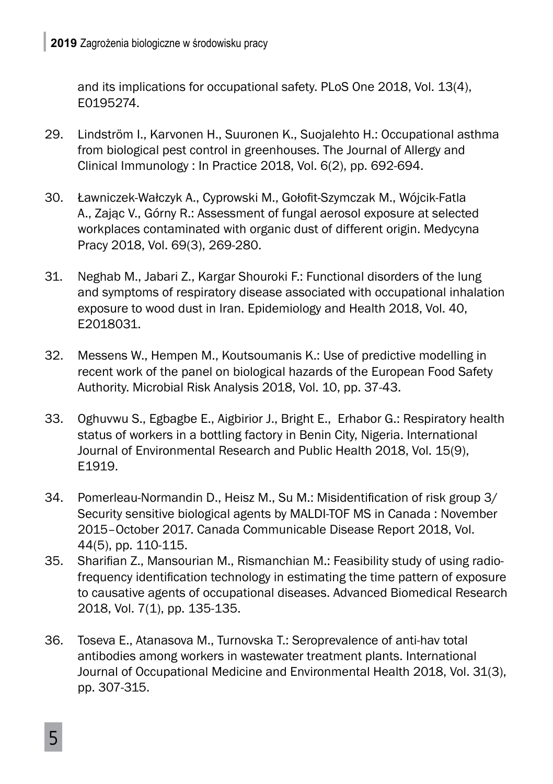and its implications for occupational safety. PLoS One 2018, Vol. 13(4), E0195274.

- 29. Lindström I., Karvonen H., Suuronen K., Suojalehto H.: Occupational asthma from biological pest control in greenhouses. The Journal of Allergy and Clinical Immunology : In Practice 2018, Vol. 6(2), pp. 692-694.
- 30. Ławniczek-Wałczyk A., Cyprowski M., Gołofit-Szymczak M., Wójcik-Fatla A., Zając V., Górny R.: Assessment of fungal aerosol exposure at selected workplaces contaminated with organic dust of different origin. Medycyna Pracy 2018, Vol. 69(3), 269-280.
- 31. Neghab M., Jabari Z., Kargar Shouroki F.: Functional disorders of the lung and symptoms of respiratory disease associated with occupational inhalation exposure to wood dust in Iran. Epidemiology and Health 2018, Vol. 40, E2018031.
- 32. Messens W., Hempen M., Koutsoumanis K.: Use of predictive modelling in recent work of the panel on biological hazards of the European Food Safety Authority. Microbial Risk Analysis 2018, Vol. 10, pp. 37-43.
- 33. Oghuvwu S., Egbagbe E., Aigbirior J., Bright E., Erhabor G.: Respiratory health status of workers in a bottling factory in Benin City, Nigeria. International Journal of Environmental Research and Public Health 2018, Vol. 15(9), E1919.
- 34. Pomerleau-Normandin D., Heisz M., Su M.: Misidentification of risk group 3/ Security sensitive biological agents by MALDI-TOF MS in Canada : November 2015–October 2017. Canada Communicable Disease Report 2018, Vol. 44(5), pp. 110-115.
- 35. Sharifian Z., Mansourian M., Rismanchian M.: Feasibility study of using radiofrequency identification technology in estimating the time pattern of exposure to causative agents of occupational diseases. Advanced Biomedical Research 2018, Vol. 7(1), pp. 135-135.
- 36. Toseva E., Atanasova M., Turnovska T.: Seroprevalence of anti-hav total antibodies among workers in wastewater treatment plants. International Journal of Occupational Medicine and Environmental Health 2018, Vol. 31(3), pp. 307-315.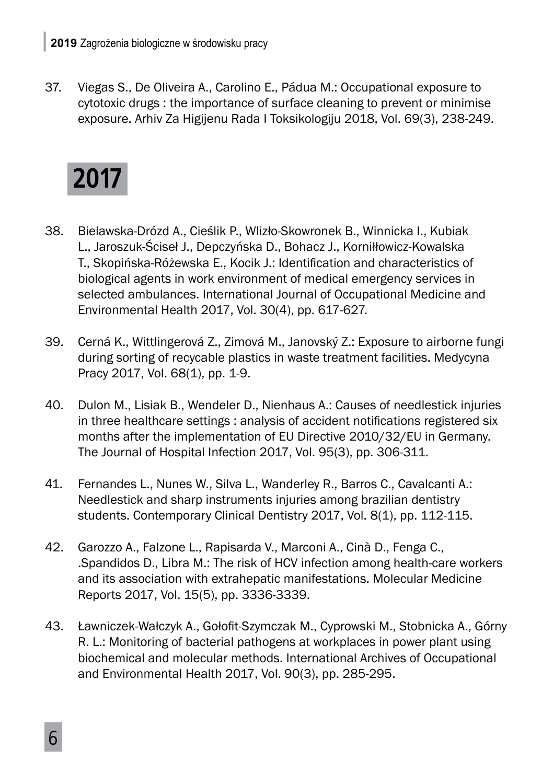37. Viegas S., De Oliveira A., Carolino E., Pádua M.: Occupational exposure to cytotoxic drugs : the importance of surface cleaning to prevent or minimise exposure. Arhiv Za Higijenu Rada I Toksikologiju 2018, Vol. 69(3), 238-249.



- 38. Bielawska-Drózd A., Cieślik P., Wlizło-Skowronek B., Winnicka I., Kubiak L., Jaroszuk-Ściseł J., Depczyńska D., Bohacz J., Korniłłowicz-Kowalska T., Skopińska-Różewska E., Kocik J.: Identification and characteristics of biological agents in work environment of medical emergency services in selected ambulances. International Journal of Occupational Medicine and Environmental Health 2017, Vol. 30(4), pp. 617-627.
- 39. Cerná K., Wittlingerová Z., Zimová M., Janovský Z.: Exposure to airborne fungi during sorting of recycable plastics in waste treatment facilities. Medycyna Pracy 2017, Vol. 68(1), pp. 1-9.
- 40. Dulon M., Lisiak B., Wendeler D., Nienhaus A.: Causes of needlestick injuries in three healthcare settings : analysis of accident notifications registered six months after the implementation of EU Directive 2010/32/EU in Germany. The Journal of Hospital Infection 2017, Vol. 95(3), pp. 306-311.
- 41. Fernandes L., Nunes W., Silva L., Wanderley R., Barros C., Cavalcanti A.: Needlestick and sharp instruments injuries among brazilian dentistry students. Contemporary Clinical Dentistry 2017, Vol. 8(1), pp. 112-115.
- 42. Garozzo A., Falzone L., Rapisarda V., Marconi A., Cinà D., Fenga C., .Spandidos D., Libra M.: The risk of HCV infection among health-care workers and its association with extrahepatic manifestations. Molecular Medicine Reports 2017, Vol. 15(5), pp. 3336-3339.
- 43. Ławniczek-Wałczyk A., Gołofit-Szymczak M., Cyprowski M., Stobnicka A., Górny R. L.: Monitoring of bacterial pathogens at workplaces in power plant using biochemical and molecular methods. International Archives of Occupational and Environmental Health 2017, Vol. 90(3), pp. 285-295.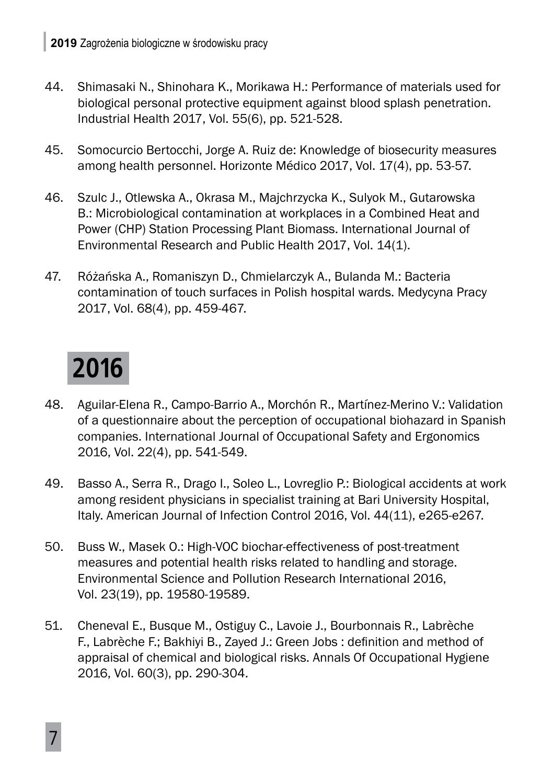- 44. Shimasaki N., Shinohara K., Morikawa H.: Performance of materials used for biological personal protective equipment against blood splash penetration. Industrial Health 2017, Vol. 55(6), pp. 521-528.
- 45. Somocurcio Bertocchi, Jorge A. Ruiz de: Knowledge of biosecurity measures among health personnel. Horizonte Médico 2017, Vol. 17(4), pp. 53-57.
- 46. Szulc J., Otlewska A., Okrasa M., Majchrzycka K., Sulyok M., Gutarowska B.: Microbiological contamination at workplaces in a Combined Heat and Power (CHP) Station Processing Plant Biomass. International Journal of Environmental Research and Public Health 2017, Vol. 14(1).
- 47. Różańska A., Romaniszyn D., Chmielarczyk A., Bulanda M.: Bacteria contamination of touch surfaces in Polish hospital wards. Medycyna Pracy 2017, Vol. 68(4), pp. 459-467.

## **2016**

- 48. Aguilar-Elena R., Campo-Barrio A., Morchón R., Martínez-Merino V.: Validation of a questionnaire about the perception of occupational biohazard in Spanish companies. International Journal of Occupational Safety and Ergonomics 2016, Vol. 22(4), pp. 541-549.
- 49. Basso A., Serra R., Drago I., Soleo L., Lovreglio P.: Biological accidents at work among resident physicians in specialist training at Bari University Hospital, Italy. American Journal of Infection Control 2016, Vol. 44(11), e265-e267.
- 50. Buss W., Masek O.: High-VOC biochar-effectiveness of post-treatment measures and potential health risks related to handling and storage. Environmental Science and Pollution Research International 2016, Vol. 23(19), pp. 19580-19589.
- 51. Cheneval E., Busque M., Ostiguy C., Lavoie J., Bourbonnais R., Labrèche F., Labrèche F.; Bakhiyi B., Zayed J.: Green Jobs : definition and method of appraisal of chemical and biological risks. Annals Of Occupational Hygiene 2016, Vol. 60(3), pp. 290-304.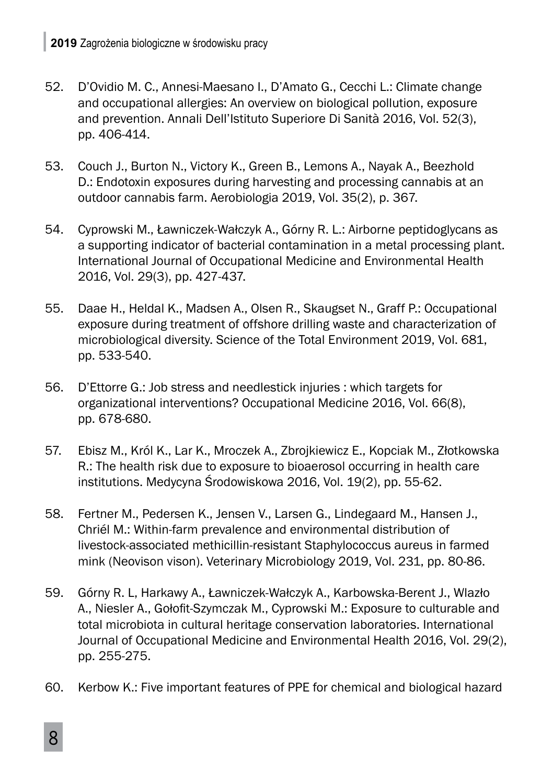- 52. D'Ovidio M. C., Annesi-Maesano I., D'Amato G., Cecchi L.: Climate change and occupational allergies: An overview on biological pollution, exposure and prevention. Annali Dell'Istituto Superiore Di Sanità 2016, Vol. 52(3), pp. 406-414.
- 53. Couch J., Burton N., Victory K., Green B., Lemons A., Nayak A., Beezhold D.: Endotoxin exposures during harvesting and processing cannabis at an outdoor cannabis farm. Aerobiologia 2019, Vol. 35(2), p. 367.
- 54. Cyprowski M., Ławniczek-Wałczyk A., Górny R. L.: Airborne peptidoglycans as a supporting indicator of bacterial contamination in a metal processing plant. International Journal of Occupational Medicine and Environmental Health 2016, Vol. 29(3), pp. 427-437.
- 55. Daae H., Heldal K., Madsen A., Olsen R., Skaugset N., Graff P.: Occupational exposure during treatment of offshore drilling waste and characterization of microbiological diversity. Science of the Total Environment 2019, Vol. 681, pp. 533-540.
- 56. D'Ettorre G.: Job stress and needlestick injuries : which targets for organizational interventions? Occupational Medicine 2016, Vol. 66(8), pp. 678-680.
- 57. Ebisz M., Król K., Lar K., Mroczek A., Zbrojkiewicz E., Kopciak M., Złotkowska R.: The health risk due to exposure to bioaerosol occurring in health care institutions. Medycyna Środowiskowa 2016, Vol. 19(2), pp. 55-62.
- 58. Fertner M., Pedersen K., Jensen V., Larsen G., Lindegaard M., Hansen J., Chriél M.: Within-farm prevalence and environmental distribution of livestock-associated methicillin-resistant Staphylococcus aureus in farmed mink (Neovison vison). Veterinary Microbiology 2019, Vol. 231, pp. 80-86.
- 59. Górny R. L, Harkawy A., Ławniczek-Wałczyk A., Karbowska-Berent J., Wlazło A., Niesler A., Gołofit-Szymczak M., Cyprowski M.: Exposure to culturable and total microbiota in cultural heritage conservation laboratories. International Journal of Occupational Medicine and Environmental Health 2016, Vol. 29(2), pp. 255-275.
- 60. Kerbow K.: Five important features of PPE for chemical and biological hazard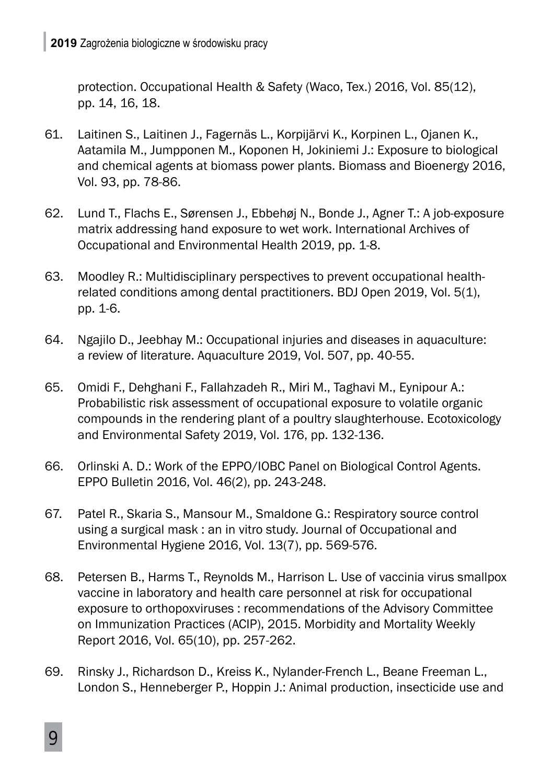protection. Occupational Health & Safety (Waco, Tex.) 2016, Vol. 85(12), pp. 14, 16, 18.

- 61. Laitinen S., Laitinen J., Fagernäs L., Korpijärvi K., Korpinen L., Ojanen K., Aatamila M., Jumpponen M., Koponen H, Jokiniemi J.: Exposure to biological and chemical agents at biomass power plants. Biomass and Bioenergy 2016, Vol. 93, pp. 78-86.
- 62. Lund T., Flachs E., Sørensen J., Ebbehøj N., Bonde J., Agner T.: A job-exposure matrix addressing hand exposure to wet work. International Archives of Occupational and Environmental Health 2019, pp. 1-8.
- 63. Moodley R.: Multidisciplinary perspectives to prevent occupational healthrelated conditions among dental practitioners. BDJ Open 2019, Vol. 5(1), pp. 1-6.
- 64. Ngajilo D., Jeebhay M.: Occupational injuries and diseases in aquaculture: a review of literature. Aquaculture 2019, Vol. 507, pp. 40-55.
- 65. Omidi F., Dehghani F., Fallahzadeh R., Miri M., Taghavi M., Eynipour A.: Probabilistic risk assessment of occupational exposure to volatile organic compounds in the rendering plant of a poultry slaughterhouse. Ecotoxicology and Environmental Safety 2019, Vol. 176, pp. 132-136.
- 66. Orlinski A. D.: Work of the EPPO/IOBC Panel on Biological Control Agents. EPPO Bulletin 2016, Vol. 46(2), pp. 243-248.
- 67. Patel R., Skaria S., Mansour M., Smaldone G.: Respiratory source control using a surgical mask : an in vitro study. Journal of Occupational and Environmental Hygiene 2016, Vol. 13(7), pp. 569-576.
- 68. Petersen B., Harms T., Reynolds M., Harrison L. Use of vaccinia virus smallpox vaccine in laboratory and health care personnel at risk for occupational exposure to orthopoxviruses : recommendations of the Advisory Committee on Immunization Practices (ACIP), 2015. Morbidity and Mortality Weekly Report 2016, Vol. 65(10), pp. 257-262.
- 69. Rinsky J., Richardson D., Kreiss K., Nylander-French L., Beane Freeman L., London S., Henneberger P., Hoppin J.: Animal production, insecticide use and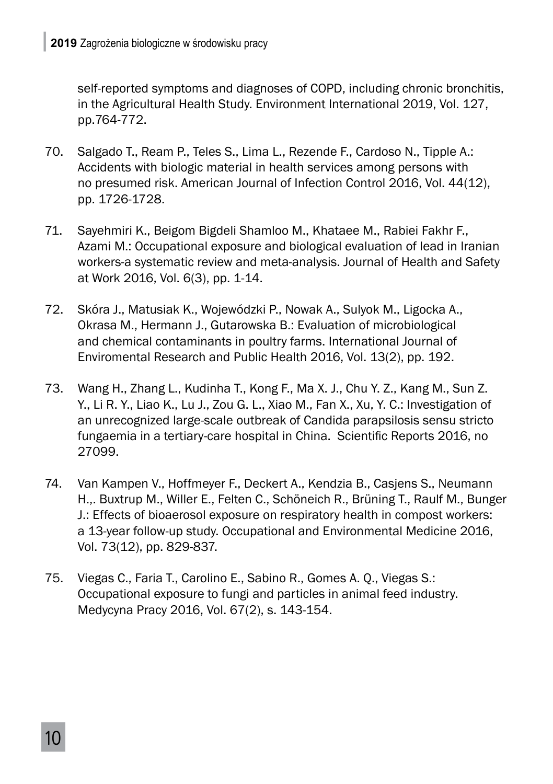self-reported symptoms and diagnoses of COPD, including chronic bronchitis, in the Agricultural Health Study. Environment International 2019, Vol. 127, pp.764-772.

- 70. Salgado T., Ream P., Teles S., Lima L., Rezende F., Cardoso N., Tipple A.: Accidents with biologic material in health services among persons with no presumed risk. American Journal of Infection Control 2016, Vol. 44(12), pp. 1726-1728.
- 71. Sayehmiri K., Beigom Bigdeli Shamloo M., Khataee M., Rabiei Fakhr F., Azami M.: Occupational exposure and biological evaluation of lead in Iranian workers-a systematic review and meta-analysis. Journal of Health and Safety at Work 2016, Vol. 6(3), pp. 1-14.
- 72. Skóra J., Matusiak K., Wojewódzki P., Nowak A., Sulyok M., Ligocka A., Okrasa M., Hermann J., Gutarowska B.: Evaluation of microbiological and chemical contaminants in poultry farms. International Journal of Enviromental Research and Public Health 2016, Vol. 13(2), pp. 192.
- 73. Wang H., Zhang L., Kudinha T., Kong F., Ma X. J., Chu Y. Z., Kang M., Sun Z. Y., Li R. Y., Liao K., Lu J., Zou G. L., Xiao M., Fan X., Xu, Y. C.: Investigation of an unrecognized large-scale outbreak of Candida parapsilosis sensu stricto fungaemia in a tertiary-care hospital in China. Scientific Reports 2016, no 27099.
- 74. Van Kampen V., Hoffmeyer F., Deckert A., Kendzia B., Casjens S., Neumann H.,. Buxtrup M., Willer E., Felten C., Schöneich R., Brüning T., Raulf M., Bunger J.: Effects of bioaerosol exposure on respiratory health in compost workers: a 13-year follow-up study. Occupational and Environmental Medicine 2016, Vol. 73(12), pp. 829-837.
- 75. Viegas C., Faria T., Carolino E., Sabino R., Gomes A. Q., Viegas S.: Occupational exposure to fungi and particles in animal feed industry. Medycyna Pracy 2016, Vol. 67(2), s. 143-154.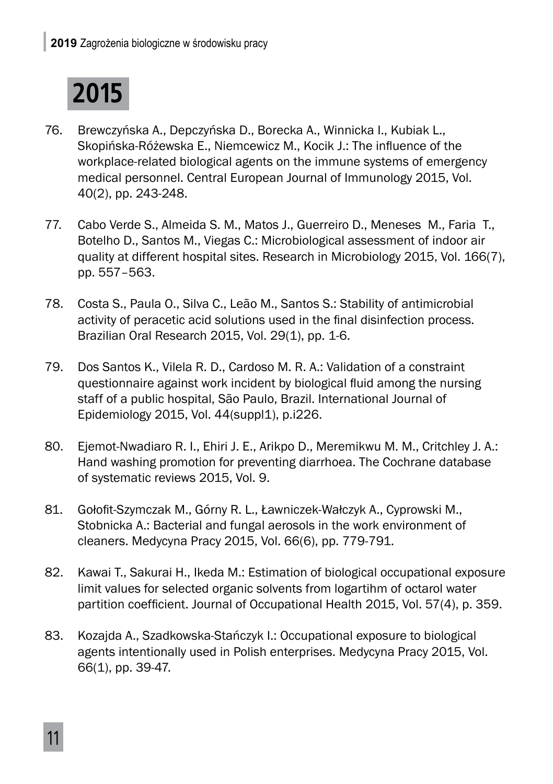

- 76. Brewczyńska A., Depczyńska D., Borecka A., Winnicka I., Kubiak L., Skopińska-Różewska E., Niemcewicz M., Kocik J.: The influence of the workplace-related biological agents on the immune systems of emergency medical personnel. Central European Journal of Immunology 2015, Vol. 40(2), pp. 243-248.
- 77. Cabo Verde S., Almeida S. M., Matos J., Guerreiro D., Meneses M., Faria T., Botelho D., Santos M., Viegas C.: Microbiological assessment of indoor air quality at different hospital sites. Research in Microbiology 2015, Vol. 166(7), pp. 557–563.
- 78. Costa S., Paula O., Silva C., Leão M., Santos S.: Stability of antimicrobial activity of peracetic acid solutions used in the final disinfection process. Brazilian Oral Research 2015, Vol. 29(1), pp. 1-6.
- 79. Dos Santos K., Vilela R. D., Cardoso M. R. A.: Validation of a constraint questionnaire against work incident by biological fluid among the nursing staff of a public hospital, São Paulo, Brazil. International Journal of Epidemiology 2015, Vol. 44(suppl1), p.i226.
- 80. Ejemot-Nwadiaro R. I., Ehiri J. E., Arikpo D., Meremikwu M. M., Critchley J. A.: Hand washing promotion for preventing diarrhoea. The Cochrane database of systematic reviews 2015, Vol. 9.
- 81. Gołofit-Szymczak M., Górny R. L., Ławniczek-Wałczyk A., Cyprowski M., Stobnicka A.: Bacterial and fungal aerosols in the work environment of cleaners. Medycyna Pracy 2015, Vol. 66(6), pp. 779-791.
- 82. Kawai T., Sakurai H., Ikeda M.: Estimation of biological occupational exposure limit values for selected organic solvents from logartihm of octarol water partition coefficient. Journal of Occupational Health 2015, Vol. 57(4), p. 359.
- 83. Kozajda A., Szadkowska-Stańczyk I.: Occupational exposure to biological agents intentionally used in Polish enterprises. Medycyna Pracy 2015, Vol. 66(1), pp. 39-47.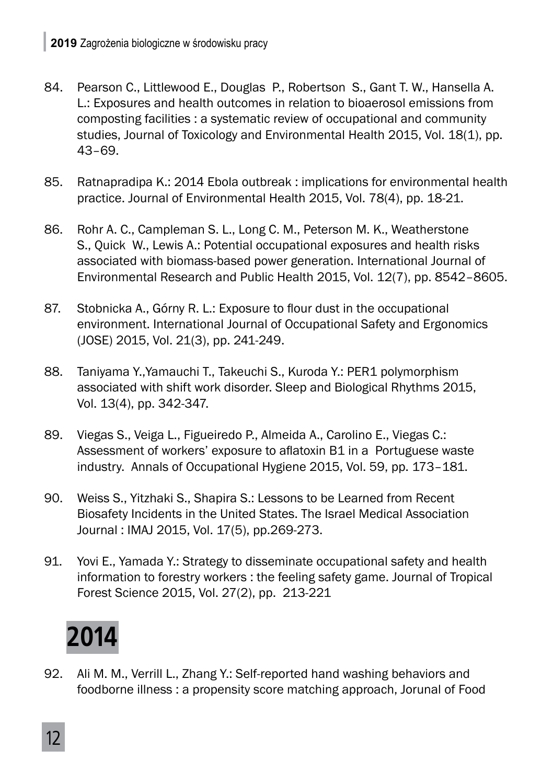- 84. Pearson C., Littlewood E., Douglas P., Robertson S., Gant T. W., Hansella A. L.: Exposures and health outcomes in relation to bioaerosol emissions from composting facilities : a systematic review of occupational and community studies, Journal of Toxicology and Environmental Health 2015, Vol. 18(1), pp. 43–69.
- 85. Ratnapradipa K.: 2014 Ebola outbreak : implications for environmental health practice. Journal of Environmental Health 2015, Vol. 78(4), pp. 18-21.
- 86. Rohr A. C., Campleman S. L., Long C. M., Peterson M. K., Weatherstone S., Quick W., Lewis A.: Potential occupational exposures and health risks associated with biomass-based power generation. International Journal of Environmental Research and Public Health 2015, Vol. 12(7), pp. 8542–8605.
- 87. Stobnicka A., Górny R. L.: Exposure to flour dust in the occupational environment. International Journal of Occupational Safety and Ergonomics (JOSE) 2015, Vol. 21(3), pp. 241-249.
- 88. Taniyama Y.,Yamauchi T., Takeuchi S., Kuroda Y.: PER1 polymorphism associated with shift work disorder. Sleep and Biological Rhythms 2015, Vol. 13(4), pp. 342-347.
- 89. Viegas S., Veiga L., Figueiredo P., Almeida A., Carolino E., Viegas C.: Assessment of workers' exposure to aflatoxin B1 in a Portuguese waste industry. Annals of Occupational Hygiene 2015, Vol. 59, pp. 173–181.
- 90. Weiss S., Yitzhaki S., Shapira S.: Lessons to be Learned from Recent Biosafety Incidents in the United States. The Israel Medical Association Journal : IMAJ 2015, Vol. 17(5), pp.269-273.
- 91. Yovi E., Yamada Y.: Strategy to disseminate occupational safety and health information to forestry workers : the feeling safety game. Journal of Tropical Forest Science 2015, Vol. 27(2), pp. 213-221

# **2014**

92. Ali M. M., Verrill L., Zhang Y.: Self-reported hand washing behaviors and foodborne illness : a propensity score matching approach, Jorunal of Food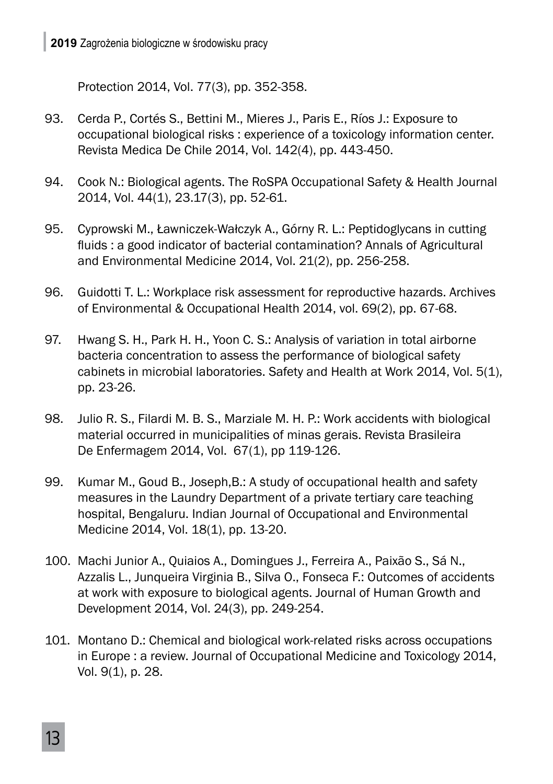Protection 2014, Vol. 77(3), pp. 352-358.

- 93. Cerda P., Cortés S., Bettini M., Mieres J., Paris E., Ríos J.: Exposure to occupational biological risks : experience of a toxicology information center. Revista Medica De Chile 2014, Vol. 142(4), pp. 443-450.
- 94. Cook N.: Biological agents. The RoSPA Occupational Safety & Health Journal 2014, Vol. 44(1), 23.17(3), pp. 52-61.
- 95. Cyprowski M., Ławniczek-Wałczyk A., Górny R. L.: Peptidoglycans in cutting fluids : a good indicator of bacterial contamination? Annals of Agricultural and Environmental Medicine 2014, Vol. 21(2), pp. 256-258.
- 96. Guidotti T. L.: Workplace risk assessment for reproductive hazards. Archives of Environmental & Occupational Health 2014, vol. 69(2), pp. 67-68.
- 97. Hwang S. H., Park H. H., Yoon C. S.: Analysis of variation in total airborne bacteria concentration to assess the performance of biological safety cabinets in microbial laboratories. Safety and Health at Work 2014, Vol. 5(1), pp. 23-26.
- 98. Julio R. S., Filardi M. B. S., Marziale M. H. P.: Work accidents with biological material occurred in municipalities of minas gerais. Revista Brasileira De Enfermagem 2014, Vol. 67(1), pp 119-126.
- 99. Kumar M., Goud B., Joseph,B.: A study of occupational health and safety measures in the Laundry Department of a private tertiary care teaching hospital, Bengaluru. Indian Journal of Occupational and Environmental Medicine 2014, Vol. 18(1), pp. 13-20.
- 100. Machi Junior A., Quiaios A., Domingues J., Ferreira A., Paixão S., Sá N., Azzalis L., Junqueira Virginia B., Silva O., Fonseca F.: Outcomes of accidents at work with exposure to biological agents. Journal of Human Growth and Development 2014, Vol. 24(3), pp. 249-254.
- 101. Montano D.: Chemical and biological work-related risks across occupations in Europe : a review. Journal of Occupational Medicine and Toxicology 2014, Vol. 9(1), p. 28.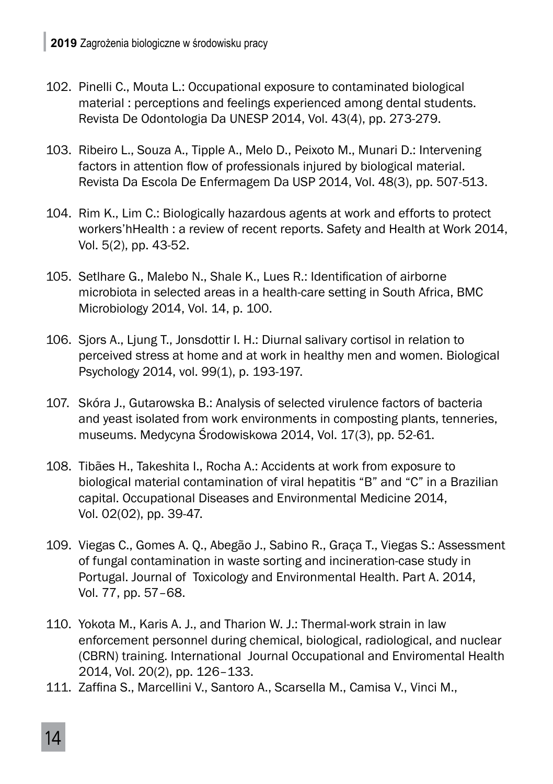- 102. Pinelli C., Mouta L.: Occupational exposure to contaminated biological material : perceptions and feelings experienced among dental students. Revista De Odontologia Da UNESP 2014, Vol. 43(4), pp. 273-279.
- 103. Ribeiro L., Souza A., Tipple A., Melo D., Peixoto M., Munari D.: Intervening factors in attention flow of professionals injured by biological material. Revista Da Escola De Enfermagem Da USP 2014, Vol. 48(3), pp. 507-513.
- 104. Rim K., Lim C.: Biologically hazardous agents at work and efforts to protect workers'hHealth : a review of recent reports. Safety and Health at Work 2014, Vol. 5(2), pp. 43-52.
- 105. Setlhare G., Malebo N., Shale K., Lues R.: Identification of airborne microbiota in selected areas in a health-care setting in South Africa, BMC Microbiology 2014, Vol. 14, p. 100.
- 106. Sjors A., Ljung T., Jonsdottir I. H.: Diurnal salivary cortisol in relation to perceived stress at home and at work in healthy men and women. Biological Psychology 2014, vol. 99(1), p. 193-197.
- 107. Skóra J., Gutarowska B.: Analysis of selected virulence factors of bacteria and yeast isolated from work environments in composting plants, tenneries, museums. Medycyna Środowiskowa 2014, Vol. 17(3), pp. 52-61.
- 108. Tibães H., Takeshita I., Rocha A.: Accidents at work from exposure to biological material contamination of viral hepatitis "B" and "C" in a Brazilian capital. Occupational Diseases and Environmental Medicine 2014, Vol. 02(02), pp. 39-47.
- 109. Viegas C., Gomes A. Q., Abegão J., Sabino R., Graça T., Viegas S.: Assessment of fungal contamination in waste sorting and incineration-case study in Portugal. Journal of Toxicology and Environmental Health. Part A. 2014, Vol. 77, pp. 57–68.
- 110. Yokota M., Karis A. J., and Tharion W. J.: Thermal-work strain in law enforcement personnel during chemical, biological, radiological, and nuclear (CBRN) training. International Journal Occupational and Enviromental Health 2014, Vol. 20(2), pp. 126–133.
- 111. Zaffina S., Marcellini V., Santoro A., Scarsella M., Camisa V., Vinci M.,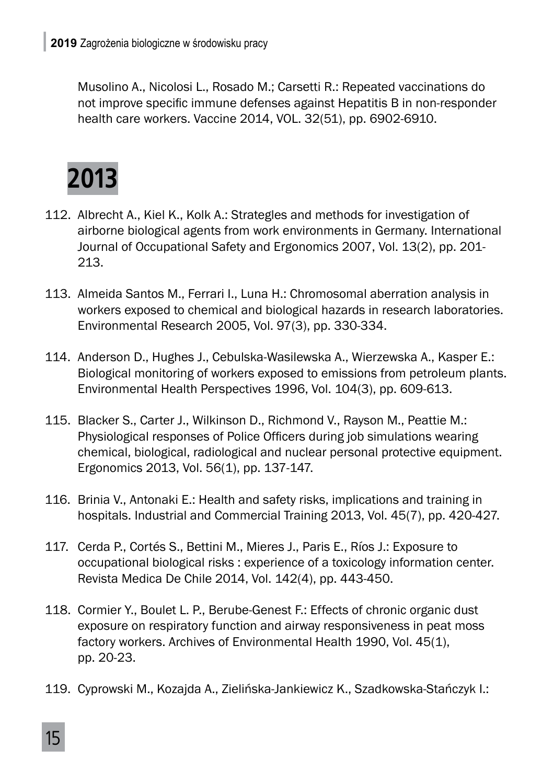Musolino A., Nicolosi L., Rosado M.; Carsetti R.: Repeated vaccinations do not improve specific immune defenses against Hepatitis B in non-responder health care workers. Vaccine 2014, VOL. 32(51), pp. 6902-6910.



- 112. Albrecht A., Kiel K., Kolk A.: Strategles and methods for investigation of airborne biological agents from work environments in Germany. International Journal of Occupational Safety and Ergonomics 2007, Vol. 13(2), pp. 201- 213.
- 113. Almeida Santos M., Ferrari I., Luna H.: Chromosomal aberration analysis in workers exposed to chemical and biological hazards in research laboratories. Environmental Research 2005, Vol. 97(3), pp. 330-334.
- 114. Anderson D., Hughes J., Cebulska-Wasilewska A., Wierzewska A., Kasper E.: Biological monitoring of workers exposed to emissions from petroleum plants. Environmental Health Perspectives 1996, Vol. 104(3), pp. 609-613.
- 115. Blacker S., Carter J., Wilkinson D., Richmond V., Rayson M., Peattie M.: Physiological responses of Police Officers during job simulations wearing chemical, biological, radiological and nuclear personal protective equipment. Ergonomics 2013, Vol. 56(1), pp. 137-147.
- 116. Brinia V., Antonaki E.: Health and safety risks, implications and training in hospitals. Industrial and Commercial Training 2013, Vol. 45(7), pp. 420-427.
- 117. Cerda P., Cortés S., Bettini M., Mieres J., Paris E., Ríos J.: Exposure to occupational biological risks : experience of a toxicology information center. Revista Medica De Chile 2014, Vol. 142(4), pp. 443-450.
- 118. Cormier Y., Boulet L. P., Berube-Genest F.: Effects of chronic organic dust exposure on respiratory function and airway responsiveness in peat moss factory workers. Archives of Environmental Health 1990, Vol. 45(1), pp. 20-23.
- 119. Cyprowski M., Kozajda A., Zielińska-Jankiewicz K., Szadkowska-Stańczyk I.: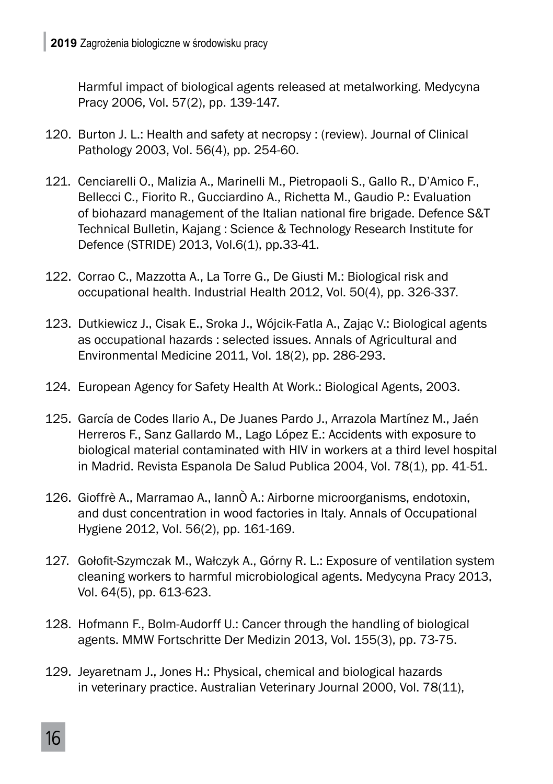Harmful impact of biological agents released at metalworking. Medycyna Pracy 2006, Vol. 57(2), pp. 139-147.

- 120. Burton J. L.: Health and safety at necropsy : (review). Journal of Clinical Pathology 2003, Vol. 56(4), pp. 254-60.
- 121. Cenciarelli O., Malizia A., Marinelli M., Pietropaoli S., Gallo R., D'Amico F., Bellecci C., Fiorito R., Gucciardino A., Richetta M., Gaudio P.: Evaluation of biohazard management of the Italian national fire brigade. Defence S&T Technical Bulletin, Kajang : Science & Technology Research Institute for Defence (STRIDE) 2013, Vol.6(1), pp.33-41.
- 122. Corrao C., Mazzotta A., La Torre G., De Giusti M.: Biological risk and occupational health. Industrial Health 2012, Vol. 50(4), pp. 326-337.
- 123. Dutkiewicz J., Cisak E., Sroka J., Wójcik-Fatla A., Zając V.: Biological agents as occupational hazards : selected issues. Annals of Agricultural and Environmental Medicine 2011, Vol. 18(2), pp. 286-293.
- 124. European Agency for Safety Health At Work.: Biological Agents, 2003.
- 125. García de Codes Ilario A., De Juanes Pardo J., Arrazola Martínez M., Jaén Herreros F., Sanz Gallardo M., Lago López E.: Accidents with exposure to biological material contaminated with HIV in workers at a third level hospital in Madrid. Revista Espanola De Salud Publica 2004, Vol. 78(1), pp. 41-51.
- 126. Gioffrè A., Marramao A., IannÒ A.: Airborne microorganisms, endotoxin, and dust concentration in wood factories in Italy. Annals of Occupational Hygiene 2012, Vol. 56(2), pp. 161-169.
- 127. Gołofit-Szymczak M., Wałczyk A., Górny R. L.: Exposure of ventilation system cleaning workers to harmful microbiological agents. Medycyna Pracy 2013, Vol. 64(5), pp. 613-623.
- 128. Hofmann F., Bolm-Audorff U.: Cancer through the handling of biological agents. MMW Fortschritte Der Medizin 2013, Vol. 155(3), pp. 73-75.
- 129. Jeyaretnam J., Jones H.: Physical, chemical and biological hazards in veterinary practice. Australian Veterinary Journal 2000, Vol. 78(11),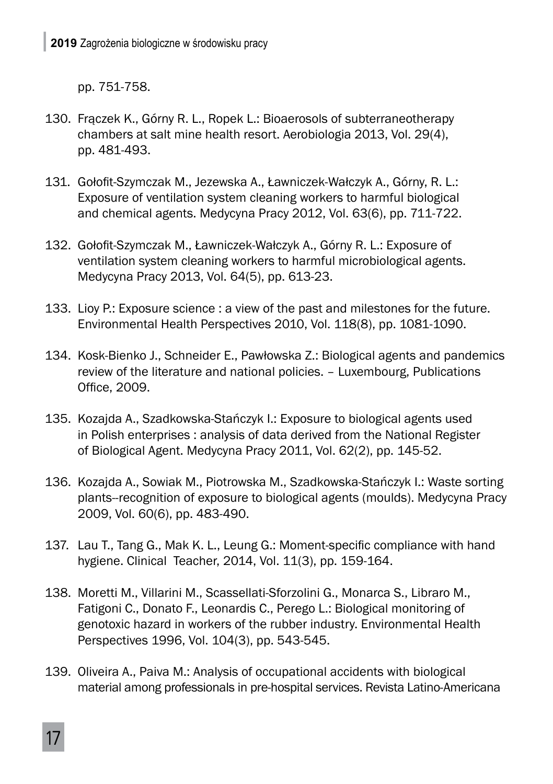pp. 751-758.

- 130. Frączek K., Górny R. L., Ropek L.: Bioaerosols of subterraneotherapy chambers at salt mine health resort. Aerobiologia 2013, Vol. 29(4), pp. 481-493.
- 131. Gołofit-Szymczak M., Jezewska A., Ławniczek-Wałczyk A., Górny, R. L.: Exposure of ventilation system cleaning workers to harmful biological and chemical agents. Medycyna Pracy 2012, Vol. 63(6), pp. 711-722.
- 132. Gołofit-Szymczak M., Ławniczek-Wałczyk A., Górny R. L.: Exposure of ventilation system cleaning workers to harmful microbiological agents. Medycyna Pracy 2013, Vol. 64(5), pp. 613-23.
- 133. Lioy P.: Exposure science : a view of the past and milestones for the future. Environmental Health Perspectives 2010, Vol. 118(8), pp. 1081-1090.
- 134. Kosk-Bienko J., Schneider E., Pawłowska Z.: Biological agents and pandemics review of the literature and national policies. – Luxembourg, Publications Office, 2009.
- 135. Kozajda A., Szadkowska-Stańczyk I.: Exposure to biological agents used in Polish enterprises : analysis of data derived from the National Register of Biological Agent. Medycyna Pracy 2011, Vol. 62(2), pp. 145-52.
- 136. Kozajda A., Sowiak M., Piotrowska M., Szadkowska-Stańczyk I.: Waste sorting plants--recognition of exposure to biological agents (moulds). Medycyna Pracy 2009, Vol. 60(6), pp. 483-490.
- 137. Lau T., Tang G., Mak K. L., Leung G.: Moment-specific compliance with hand hygiene. Clinical Teacher, 2014, Vol. 11(3), pp. 159-164.
- 138. Moretti M., Villarini M., Scassellati-Sforzolini G., Monarca S., Libraro M., Fatigoni C., Donato F., Leonardis C., Perego L.: Biological monitoring of genotoxic hazard in workers of the rubber industry. Environmental Health Perspectives 1996, Vol. 104(3), pp. 543-545.
- 139. Oliveira A., Paiva M.: Analysis of occupational accidents with biological material among professionals in pre-hospital services. Revista Latino-Americana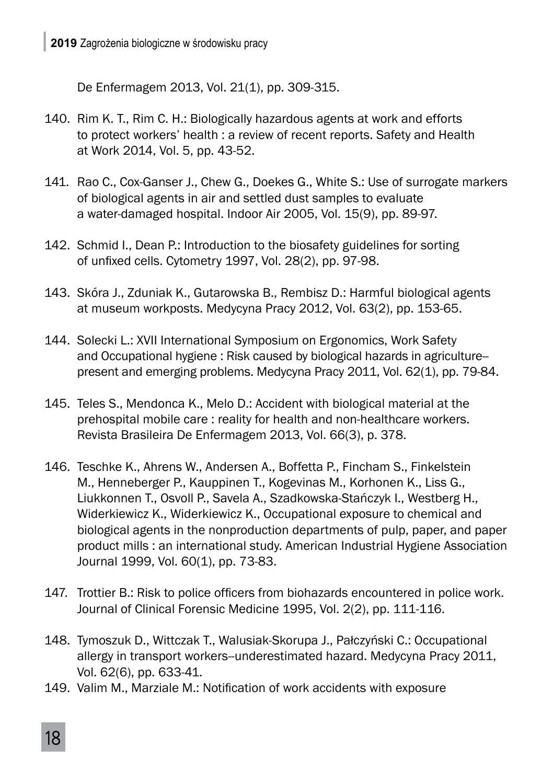De Enfermagem 2013, Vol. 21(1), pp. 309-315.

- 140. Rim K. T., Rim C. H.: Biologically hazardous agents at work and efforts to protect workers' health : a review of recent reports. Safety and Health at Work 2014, Vol. 5, pp. 43-52.
- 141. Rao C., Cox-Ganser J., Chew G., Doekes G., White S.: Use of surrogate markers of biological agents in air and settled dust samples to evaluate a water-damaged hospital. Indoor Air 2005, Vol. 15(9), pp. 89-97.
- 142. Schmid I., Dean P.: Introduction to the biosafety guidelines for sorting of unfixed cells. Cytometry 1997, Vol. 28(2), pp. 97-98.
- 143. Skóra J., Zduniak K., Gutarowska B., Rembisz D.: Harmful biological agents at museum workposts. Medycyna Pracy 2012, Vol. 63(2), pp. 153-65.
- 144. Solecki L.: XVII International Symposium on Ergonomics, Work Safety and Occupational hygiene : Risk caused by biological hazards in agriculture- present and emerging problems. Medycyna Pracy 2011, Vol. 62(1), pp. 79-84.
- 145. Teles S., Mendonca K., Melo D.: Accident with biological material at the prehospital mobile care : reality for health and non-healthcare workers. Revista Brasileira De Enfermagem 2013, Vol. 66(3), p. 378.
- 146. Teschke K., Ahrens W., Andersen A., Boffetta P., Fincham S., Finkelstein M., Henneberger P., Kauppinen T., Kogevinas M., Korhonen K., Liss G., Liukkonnen T., Osvoll P., Savela A., Szadkowska-Stańczyk I., Westberg H., Widerkiewicz K., Widerkiewicz K., Occupational exposure to chemical and biological agents in the nonproduction departments of pulp, paper, and paper product mills : an international study. American Industrial Hygiene Association Journal 1999, Vol. 60(1), pp. 73-83.
- 147. Trottier B.: Risk to police officers from biohazards encountered in police work. Journal of Clinical Forensic Medicine 1995, Vol. 2(2), pp. 111-116.
- 148. Tymoszuk D., Wittczak T., Walusiak-Skorupa J., Pałczyński C.: Occupational allergy in transport workers--underestimated hazard. Medycyna Pracy 2011, Vol. 62(6), pp. 633-41.
- 149. Valim M., Marziale M.: Notification of work accidents with exposure